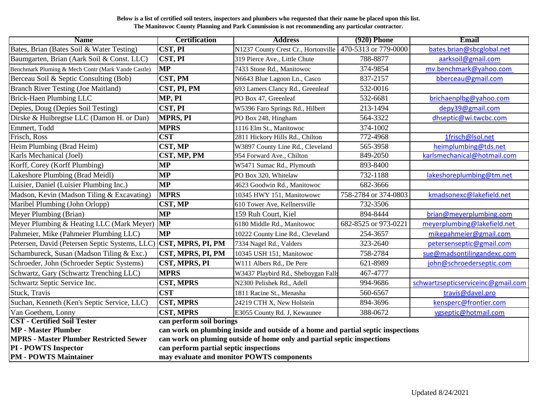## **Below is a list of certified soil testers, inspectors and plumbers who requested that their name be placed upon this list. The Manitowoc County Planning and Park Commission is not recommending any particular contractor.**

| <b>Name</b>                                        | <b>Certification</b>                                                             | <b>Address</b>                      | $(920)$ Phone        | Email                              |
|----------------------------------------------------|----------------------------------------------------------------------------------|-------------------------------------|----------------------|------------------------------------|
| Bates, Brian (Bates Soil & Water Testing)          | CST, PI                                                                          | N1237 County Crest Cr., Hortonville | 470-5313 or 779-0000 | bates.brian@sbcglobal.net          |
| Baumgarten, Brian (Aark Soil & Const. LLC)         | <b>CST, PI</b>                                                                   | 319 Pierce Ave., Little Chute       | 788-8877             | aarksoil@gmail.com                 |
| Benchmark Pluming & Mech Contr (Mark Vande Castle) | <b>MP</b>                                                                        | 7433 Stone Rd., Manitowoc           | 374-9854             | mv.benchmark@yahoo.com             |
| Berceau Soil & Septic Consulting (Bob)             | CST, PM                                                                          | N6643 Blue Lagoon Ln., Casco        | 837-2157             | bberceau@gmail.com                 |
| <b>Branch River Testing (Joe Maitland)</b>         | CST, PI, PM                                                                      | 693 Lamers Clancy Rd., Greenleaf    | 532-0016             |                                    |
| <b>Brick-Haen Plumbing LLC</b>                     | MP, PI                                                                           | PO Box 47, Greenleaf                | 532-6681             | brichaenplbg@yahoo.com             |
| Depies, Doug (Depies Soil Testing)                 | CST, PI                                                                          | W5396 Faro Springs Rd., Hilbert     | 213-1494             | depy39@gmail.com                   |
| Dirske & Huibregtse LLC (Damon H. or Dan)          | <b>MPRS, PI</b>                                                                  | PO Box 248, Hingham                 | 564-3322             | dhseptic@wi.twcbc.com              |
| Emmert, Todd                                       | <b>MPRS</b>                                                                      | 1116 Elm St., Manitowoc             | 374-1002             |                                    |
| Frisch, Ross                                       | <b>CST</b>                                                                       | 2811 Hickory Hills Rd., Chilton     | 772-4968             | 1frisch@lsol.net                   |
| Heim Plumbing (Brad Heim)                          | CST, MP                                                                          | W3897 County Line Rd., Cleveland    | 565-3958             | heimplumbing@tds.net               |
| Karls Mechanical (Joel)                            | CST, MP, PM                                                                      | 954 Forward Ave., Chilton           | 849-2050             | karlsmechanical@hotmail.com        |
| Korff, Corey (Korff Plumbing)                      | <b>MP</b>                                                                        | W5471 Sumac Rd., Plymouth           | 893-8400             |                                    |
| Lakeshore Plumbing (Brad Meidl)                    | <b>MP</b>                                                                        | PO Box 320, Whitelaw                | 732-1188             | lakeshoreplumbing@tm.net           |
| Luisier, Daniel (Luisier Plumbing Inc.)            | <b>MP</b>                                                                        | 4623 Goodwin Rd., Manitowoc         | 682-3666             |                                    |
| Madson, Kevin (Madson Tiling & Excavating)         | <b>MPRS</b>                                                                      | 10345 HWY 151, Manitowowc           | 758-2784 or 374-0803 | kmadsonexc@lakefield.net           |
| Maribel Plumbing (John Orlopp)                     | CST, MP                                                                          | 610 Tower Ave, Kellnersville        | 732-3506             |                                    |
| Meyer Plumbing (Brian)                             | <b>MP</b>                                                                        | 159 Ruh Court, Kiel                 | 894-8444             | brian@meyerplumbing.com            |
| Meyer Plumbing & Heating LLC (Mark Meyer)          | <b>MP</b>                                                                        | 6180 Middle Rd., Manitowoc          | 682-8525 or 973-0221 | meyerplumbing@lakefield.net        |
| Pahmeier, Mike (Pahmeier Plumbing LLC)             | <b>MP</b>                                                                        | 10222 County Line Rd., Cleveland    | 254-3657             | mikepahmeier@gmail.com             |
| Petersen, David (Petersen Septic Systems, LLC)     | <b>CST, MPRS, PI, PM</b>                                                         | 7334 Nagel Rd., Valders             | 323-2640             | petersenseptic@gmail.com           |
| Schambureck, Susan (Madson Tiling & Exc.)          | CST, MPRS, PI, PM                                                                | 10345 USH 151, Manitowoc            | 758-2784             | sue@madsontilingandexc.com         |
| Schroeder, John (Schroeder Septic Systems)         | CST, MPRS, PI                                                                    | W111 Albers Rd., De Pere            | 621-8989             | john@schroederseptic.com           |
| Schwartz, Gary (Schwartz Trenching LLC)            | <b>MPRS</b>                                                                      | W3437 Playbird Rd., Sheboygan Falls | 467-4777             |                                    |
| Schwartz Septic Service Inc.                       | <b>CST, MPRS</b>                                                                 | N2300 Pelishek Rd., Adell           | 994-9686             | schwartzsepticserviceinc@gmail.com |
| Stuck, Travis                                      | <b>CST</b>                                                                       | 1811 Racine St., Menasha            | 560-6567             | travis@davel.pro                   |
| Suchan, Kenneth (Ken's Septic Service, LLC)        | <b>CST, MPRS</b>                                                                 | 24219 CTH X, New Holstein           | 894-3696             | kensperc@frontier.com              |
| Van Goethem, Lonny                                 | <b>CST, MPRS</b>                                                                 | E3055 County Rd. J, Kewaunee        | 388-0672             | vgseptic@hotmail.com               |
| <b>CST</b> - Certified Soil Tester                 | can perform soil borings                                                         |                                     |                      |                                    |
| <b>MP</b> - Master Plumber                         | can work on plumbing inside and outside of a home and partial septic inspections |                                     |                      |                                    |
| <b>MPRS - Master Plumber Restricted Sewer</b>      | can work on pluming outside of home only and partial septic inspections          |                                     |                      |                                    |
| <b>PI - POWTS Inspector</b>                        | can perform partial septic inspections                                           |                                     |                      |                                    |
| <b>PM - POWTS Maintainer</b>                       | may evaluate and monitor POWTS components                                        |                                     |                      |                                    |